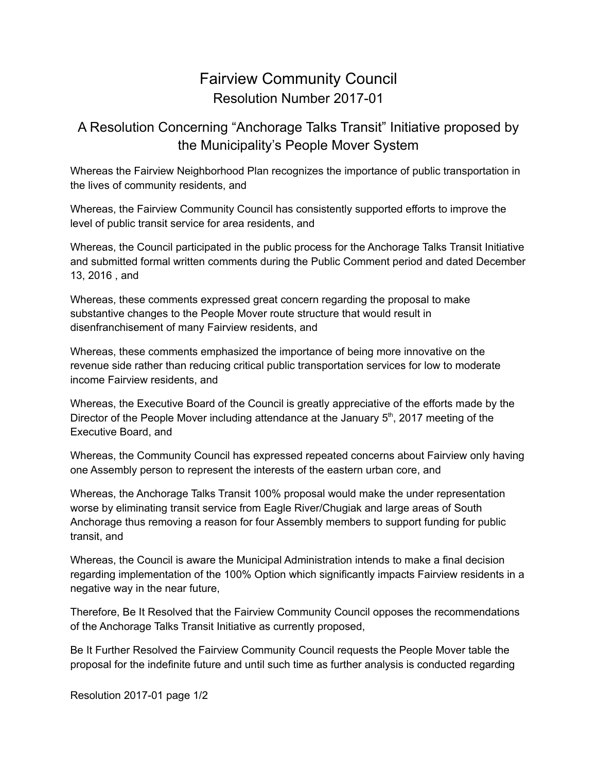## Fairview Community Council Resolution Number 2017-01

## A Resolution Concerning "Anchorage Talks Transit" Initiative proposed by the Municipality's People Mover System

Whereas the Fairview Neighborhood Plan recognizes the importance of public transportation in the lives of community residents, and

Whereas, the Fairview Community Council has consistently supported efforts to improve the level of public transit service for area residents, and

Whereas, the Council participated in the public process for the Anchorage Talks Transit Initiative and submitted formal written comments during the Public Comment period and dated December 13, 2016 , and

Whereas, these comments expressed great concern regarding the proposal to make substantive changes to the People Mover route structure that would result in disenfranchisement of many Fairview residents, and

Whereas, these comments emphasized the importance of being more innovative on the revenue side rather than reducing critical public transportation services for low to moderate income Fairview residents, and

Whereas, the Executive Board of the Council is greatly appreciative of the efforts made by the Director of the People Mover including attendance at the January 5<sup>th</sup>, 2017 meeting of the Executive Board, and

Whereas, the Community Council has expressed repeated concerns about Fairview only having one Assembly person to represent the interests of the eastern urban core, and

Whereas, the Anchorage Talks Transit 100% proposal would make the under representation worse by eliminating transit service from Eagle River/Chugiak and large areas of South Anchorage thus removing a reason for four Assembly members to support funding for public transit, and

Whereas, the Council is aware the Municipal Administration intends to make a final decision regarding implementation of the 100% Option which significantly impacts Fairview residents in a negative way in the near future,

Therefore, Be It Resolved that the Fairview Community Council opposes the recommendations of the Anchorage Talks Transit Initiative as currently proposed,

Be It Further Resolved the Fairview Community Council requests the People Mover table the proposal for the indefinite future and until such time as further analysis is conducted regarding

Resolution 2017-01 page 1/2